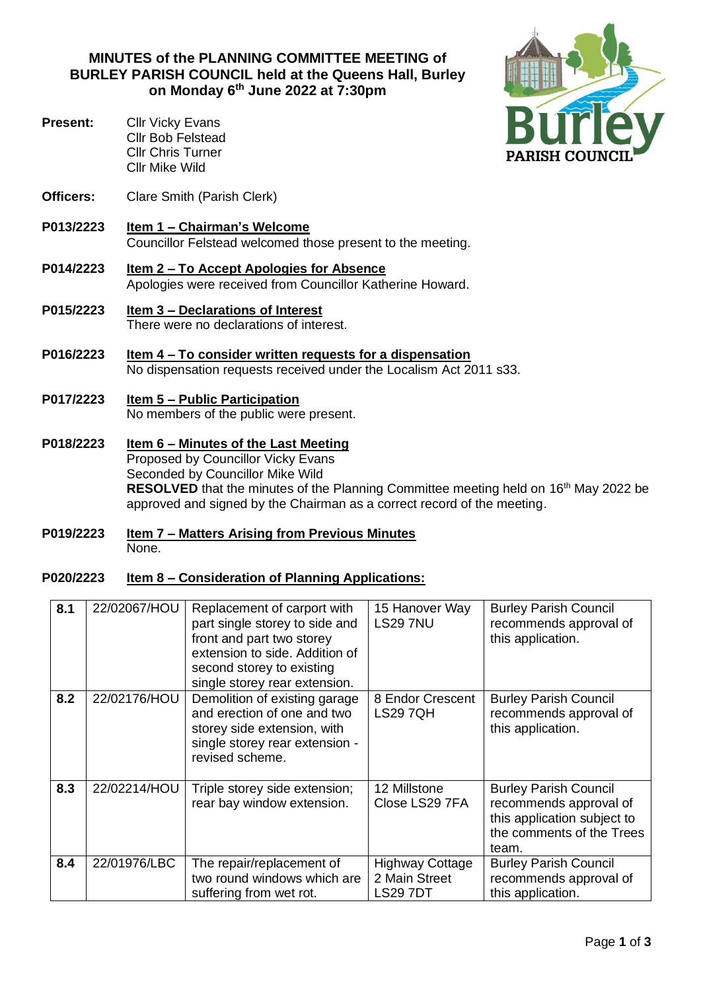**MINUTES of the PLANNING COMMITTEE MEETING of BURLEY PARISH COUNCIL held at the Queens Hall, Burley on Monday 6 th June 2022 at 7:30pm**

- **Present:** Cllr Vicky Evans Cllr Bob Felstead Cllr Chris Turner Cllr Mike Wild
- **Officers:** Clare Smith (Parish Clerk)
- **P013/2223 Item 1 – Chairman's Welcome**  Councillor Felstead welcomed those present to the meeting.
- **P014/2223 Item 2 – To Accept Apologies for Absence**  Apologies were received from Councillor Katherine Howard.
- **P015/2223 Item 3 – Declarations of Interest** There were no declarations of interest.
- **P016/2223 Item 4 – To consider written requests for a dispensation** No dispensation requests received under the Localism Act 2011 s33.
- **P017/2223 Item 5 – Public Participation** No members of the public were present.
- **P018/2223 Item 6 – Minutes of the Last Meeting** Proposed by Councillor Vicky Evans Seconded by Councillor Mike Wild **RESOLVED** that the minutes of the Planning Committee meeting held on 16<sup>th</sup> May 2022 be approved and signed by the Chairman as a correct record of the meeting.
- **P019/2223 Item 7 – Matters Arising from Previous Minutes** None.

## **P020/2223 Item 8 – Consideration of Planning Applications:**

| 8.1 | 22/02067/HOU | Replacement of carport with<br>part single storey to side and<br>front and part two storey<br>extension to side. Addition of<br>second storey to existing<br>single storey rear extension. | 15 Hanover Way<br><b>LS29 7NU</b>                          | <b>Burley Parish Council</b><br>recommends approval of<br>this application.                                                 |
|-----|--------------|--------------------------------------------------------------------------------------------------------------------------------------------------------------------------------------------|------------------------------------------------------------|-----------------------------------------------------------------------------------------------------------------------------|
| 8.2 | 22/02176/HOU | Demolition of existing garage<br>and erection of one and two<br>storey side extension, with<br>single storey rear extension -<br>revised scheme.                                           | 8 Endor Crescent<br><b>LS29 7QH</b>                        | <b>Burley Parish Council</b><br>recommends approval of<br>this application.                                                 |
| 8.3 | 22/02214/HOU | Triple storey side extension;<br>rear bay window extension.                                                                                                                                | 12 Millstone<br>Close LS29 7FA                             | <b>Burley Parish Council</b><br>recommends approval of<br>this application subject to<br>the comments of the Trees<br>team. |
| 8.4 | 22/01976/LBC | The repair/replacement of<br>two round windows which are<br>suffering from wet rot.                                                                                                        | <b>Highway Cottage</b><br>2 Main Street<br><b>LS29 7DT</b> | <b>Burley Parish Council</b><br>recommends approval of<br>this application.                                                 |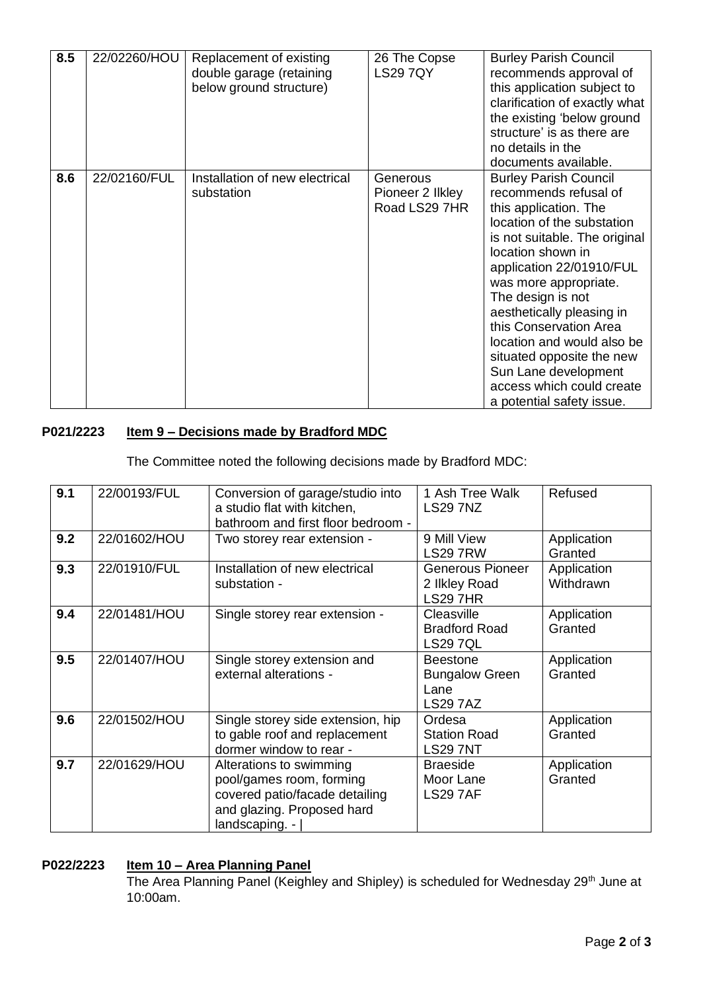| 8.5 | 22/02260/HOU | Replacement of existing<br>double garage (retaining<br>below ground structure) | 26 The Copse<br><b>LS29 7QY</b>               | <b>Burley Parish Council</b><br>recommends approval of<br>this application subject to<br>clarification of exactly what<br>the existing 'below ground<br>structure' is as there are<br>no details in the<br>documents available.                                                                                                                                                                                                                  |
|-----|--------------|--------------------------------------------------------------------------------|-----------------------------------------------|--------------------------------------------------------------------------------------------------------------------------------------------------------------------------------------------------------------------------------------------------------------------------------------------------------------------------------------------------------------------------------------------------------------------------------------------------|
| 8.6 | 22/02160/FUL | Installation of new electrical<br>substation                                   | Generous<br>Pioneer 2 Ilkley<br>Road LS29 7HR | <b>Burley Parish Council</b><br>recommends refusal of<br>this application. The<br>location of the substation<br>is not suitable. The original<br>location shown in<br>application 22/01910/FUL<br>was more appropriate.<br>The design is not<br>aesthetically pleasing in<br>this Conservation Area<br>location and would also be<br>situated opposite the new<br>Sun Lane development<br>access which could create<br>a potential safety issue. |

## **P021/2223 Item 9 – Decisions made by Bradford MDC**

The Committee noted the following decisions made by Bradford MDC:

| 9.1 | 22/00193/FUL | Conversion of garage/studio into<br>a studio flat with kitchen,<br>bathroom and first floor bedroom -                                 | 1 Ash Tree Walk<br><b>LS29 7NZ</b>                                  | Refused                  |
|-----|--------------|---------------------------------------------------------------------------------------------------------------------------------------|---------------------------------------------------------------------|--------------------------|
| 9.2 | 22/01602/HOU | Two storey rear extension -                                                                                                           | 9 Mill View<br><b>LS29 7RW</b>                                      | Application<br>Granted   |
| 9.3 | 22/01910/FUL | Installation of new electrical<br>substation -                                                                                        | Generous Pioneer<br>2 Ilkley Road<br><b>LS29 7HR</b>                | Application<br>Withdrawn |
| 9.4 | 22/01481/HOU | Single storey rear extension -                                                                                                        | Cleasville<br><b>Bradford Road</b><br><b>LS29 7QL</b>               | Application<br>Granted   |
| 9.5 | 22/01407/HOU | Single storey extension and<br>external alterations -                                                                                 | <b>Beestone</b><br><b>Bungalow Green</b><br>Lane<br><b>LS29 7AZ</b> | Application<br>Granted   |
| 9.6 | 22/01502/HOU | Single storey side extension, hip<br>to gable roof and replacement<br>dormer window to rear -                                         | Ordesa<br><b>Station Road</b><br><b>LS29 7NT</b>                    | Application<br>Granted   |
| 9.7 | 22/01629/HOU | Alterations to swimming<br>pool/games room, forming<br>covered patio/facade detailing<br>and glazing. Proposed hard<br>landscaping. - | <b>Braeside</b><br>Moor Lane<br><b>LS29 7AF</b>                     | Application<br>Granted   |

## **P022/2223 Item 10 – Area Planning Panel**

The Area Planning Panel (Keighley and Shipley) is scheduled for Wednesday 29<sup>th</sup> June at 10:00am.